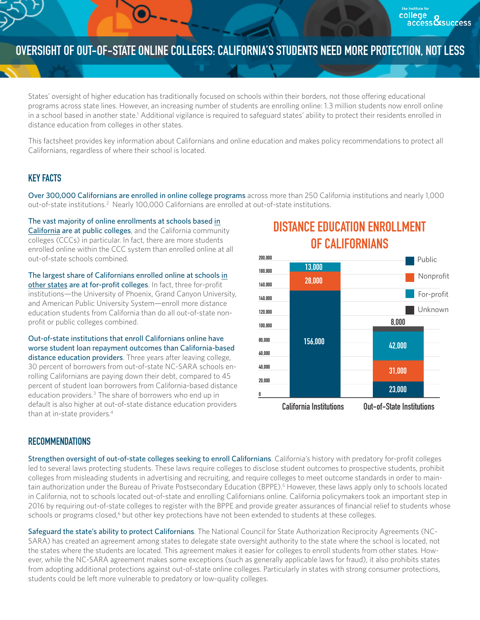## **OVERSIGHT OF OUT-OF-STATE ONLINE COLLEGES: CALIFORNIA'S STUDENTS NEED MORE PROTECTION, NOT LESS**

States' oversight of higher education has traditionally focused on schools within their borders, not those offering educational programs across state lines. However, an increasing number of students are enrolling online: 1.3 million students now enroll online in a school based in another state.<sup>1</sup> Additional vigilance is required to safeguard states' ability to protect their residents enrolled in distance education from colleges in other states.

This factsheet provides key information about Californians and online education and makes policy recommendations to protect all Californians, regardless of where their school is located.

## **KEY FACTS**

Over 300,000 Californians are enrolled in online college programs across more than 250 California institutions and nearly 1,000 out-of-state institutions.<sup>2</sup> Nearly 100,000 Californians are enrolled at out-of-state institutions.

The vast majority of online enrollments at schools based in California are at public colleges, and the California community colleges (CCCs) in particular. In fact, there are more students enrolled online within the CCC system than enrolled online at all out-of-state schools combined.

The largest share of Californians enrolled online at schools in other states are at for-profit colleges. In fact, three for-profit institutions—the University of Phoenix, Grand Canyon University, and American Public University System—enroll more distance education students from California than do all out-of-state nonprofit or public colleges combined.

Out-of-state institutions that enroll Californians online have worse student loan repayment outcomes than California-based distance education providers. Three years after leaving college, 30 percent of borrowers from out-of-state NC-SARA schools enrolling Californians are paying down their debt, compared to 45 percent of student loan borrowers from California-based distance education providers.<sup>3</sup> The share of borrowers who end up in default is also higher at out-of-state distance education providers than at in-state providers.<sup>4</sup>





## **RECOMMENDATIONS**

Strengthen oversight of out-of-state colleges seeking to enroll Californians. California's history with predatory for-profit colleges led to several laws protecting students. These laws require colleges to disclose student outcomes to prospective students, prohibit colleges from misleading students in advertising and recruiting, and require colleges to meet outcome standards in order to maintain authorization under the Bureau of Private Postsecondary Education (BPPE).<sup>5</sup> However, these laws apply only to schools located in California, not to schools located out-of-state and enrolling Californians online. California policymakers took an important step in 2016 by requiring out-of-state colleges to register with the BPPE and provide greater assurances of financial relief to students whose schools or programs closed,<sup>6</sup> but other key protections have not been extended to students at these colleges.

Safeguard the state's ability to protect Californians. The National Council for State Authorization Reciprocity Agreements (NC-SARA) has created an agreement among states to delegate state oversight authority to the state where the school is located, not the states where the students are located. This agreement makes it easier for colleges to enroll students from other states. However, while the NC-SARA agreement makes some exceptions (such as generally applicable laws for fraud), it also prohibits states from adopting additional protections against out-of-state online colleges. Particularly in states with strong consumer protections, students could be left more vulnerable to predatory or low-quality colleges.